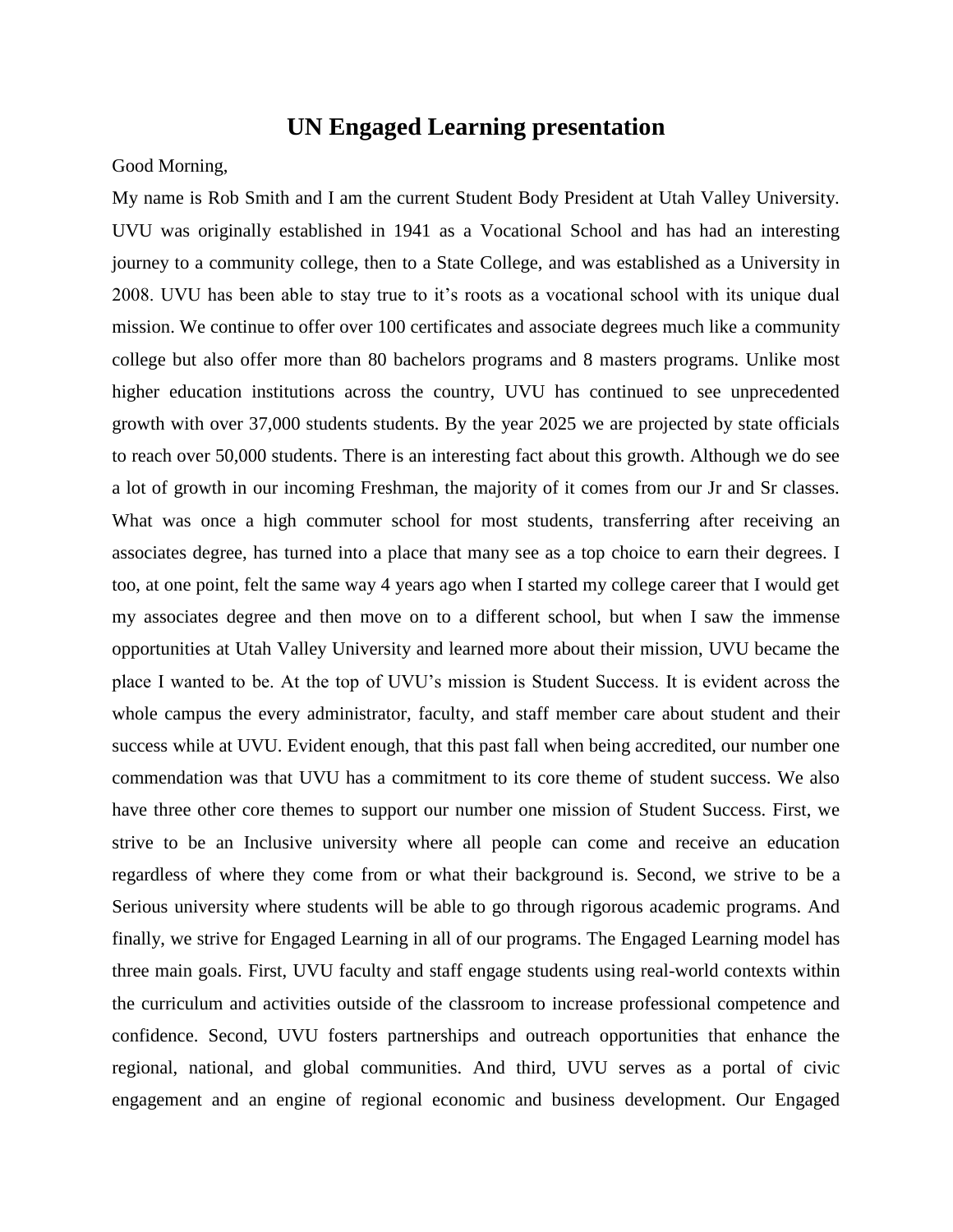## **UN Engaged Learning presentation**

Good Morning,

My name is Rob Smith and I am the current Student Body President at Utah Valley University. UVU was originally established in 1941 as a Vocational School and has had an interesting journey to a community college, then to a State College, and was established as a University in 2008. UVU has been able to stay true to it's roots as a vocational school with its unique dual mission. We continue to offer over 100 certificates and associate degrees much like a community college but also offer more than 80 bachelors programs and 8 masters programs. Unlike most higher education institutions across the country, UVU has continued to see unprecedented growth with over 37,000 students students. By the year 2025 we are projected by state officials to reach over 50,000 students. There is an interesting fact about this growth. Although we do see a lot of growth in our incoming Freshman, the majority of it comes from our Jr and Sr classes. What was once a high commuter school for most students, transferring after receiving an associates degree, has turned into a place that many see as a top choice to earn their degrees. I too, at one point, felt the same way 4 years ago when I started my college career that I would get my associates degree and then move on to a different school, but when I saw the immense opportunities at Utah Valley University and learned more about their mission, UVU became the place I wanted to be. At the top of UVU's mission is Student Success. It is evident across the whole campus the every administrator, faculty, and staff member care about student and their success while at UVU. Evident enough, that this past fall when being accredited, our number one commendation was that UVU has a commitment to its core theme of student success. We also have three other core themes to support our number one mission of Student Success. First, we strive to be an Inclusive university where all people can come and receive an education regardless of where they come from or what their background is. Second, we strive to be a Serious university where students will be able to go through rigorous academic programs. And finally, we strive for Engaged Learning in all of our programs. The Engaged Learning model has three main goals. First, UVU faculty and staff engage students using real-world contexts within the curriculum and activities outside of the classroom to increase professional competence and confidence. Second, UVU fosters partnerships and outreach opportunities that enhance the regional, national, and global communities. And third, UVU serves as a portal of civic engagement and an engine of regional economic and business development. Our Engaged